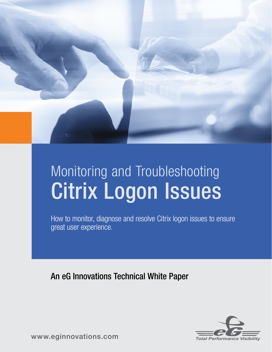

# Monitoring and Troubleshooting Citrix Logon Issues

How to monitor, diagnose and resolve Citrix logon issues to ensure great user experience.

An eG Innovations Technical White Paper



[www.eginnovations.com](http://www.eginnovations.com)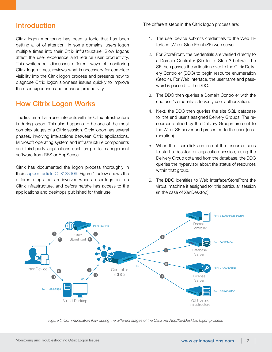## Introduction

Citrix logon monitoring has been a topic that has been getting a lot of attention. In some domains, users logon multiple times into their Citrix infrastructure. Slow logons affect the user experience and reduce user productivity. This whitepaper discusses different ways of monitoring Citrix logon times, reviews what is necessary for complete visibility into the Citrix logon process and presents how to diagnose Citrix logon slowness issues quickly to improve the user experience and enhance productivity.

# How Citrix Logon Works

The first time that a user interacts with the Citrix infrastructure is during logon. This also happens to be one of the most complex stages of a Citrix session. Citrix logon has several phases, involving interactions between Citrix applications, Microsoft operating system and infrastructure components and third-party applications such as profile management software from RES or AppSense.

Citrix has documented the logon process thoroughly in their [support article CTX128909.](http://support.citrix.com/article/CTX128909) Figure 1 below shows the different steps that are involved when a user logs on to a Citrix infrastructure, and before he/she has access to the applications and desktops published for their use.

The different steps in the Citrix logon process are:

- 1. The user device submits credentials to the Web Interface (WI) or StoreFront (SF) web server.
- 2. For StoreFront, the credentials are verified directly to a Domain Controller (Similar to Step 3 below). The SF then passes the validation over to the Citrix Delivery Controller (DDC) to begin resource enumeration (Step 4). For Web Interface, the username and password is passed to the DDC.
- 3. The DDC then queries a Domain Controller with the end user's credentials to verify user authorization.
- 4. Next, the DDC then queries the site SQL database for the end user's assigned Delivery Groups. The resources defined by the Delivery Groups are sent to the WI or SF server and presented to the user (enumeration).
- 5. When the User clicks on one of the resource icons to start a desktop or application session, using the Delivery Group obtained from the database, the DDC queries the hypervisor about the status of resources within that group.
- 6. The DDC identifies to Web Interface/StoreFront the virtual machine it assigned for this particular session (in the case of XenDesktop).



*Figure 1: Communication flow during the different stages of the Citrix XenApp/XenDesktop logon process*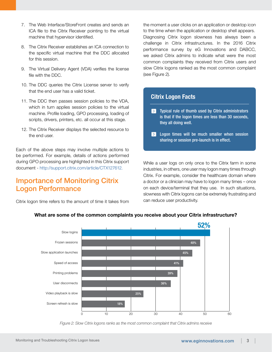- 7. The Web Interface/StoreFront creates and sends an ICA file to the Citrix Receiver pointing to the virtual machine that hypervisor identified.
- 8. The Citrix Receiver establishes an ICA connection to the specific virtual machine that the DDC allocated for this session.
- 9. The Virtual Delivery Agent (VDA) verifies the license file with the DDC.
- 10. The DDC queries the Citrix License server to verify that the end user has a valid ticket.
- 11. The DDC then passes session policies to the VDA, which in turn applies session policies to the virtual machine. Profile loading, GPO processing, loading of scripts, drivers, printers, etc. all occur at this stage.
- 12. The Citrix Receiver displays the selected resource to the end user.

Each of the above steps may involve multiple actions to be performed. For example, details of actions performed during GPO processing are highlighted in this Citrix support document - [http://support.citrix.com/article/CTX127612.](http://support.citrix.com/article/CTX127612)

## Importance of Monitoring Citrix Logon Performance

Citrix logon time refers to the amount of time it takes from

the moment a user clicks on an application or desktop icon to the time when the application or desktop shell appears. Diagnosing Citrix logon slowness has always been a challenge in Citrix infrastructures. In the 2016 Citrix performance survey by eG Innovations and DABCC, we asked Citrix admins to indicate what were the most common complaints they received from Citrix users and slow Citrix logons ranked as the most common complaint (see Figure 2).

### Citrix Logon Facts

Ī

- $\sum$  Typical rule of thumb used by Citrix administrators is that if the logon times are less than 30 seconds, they all doing well.
- $\sum$  Logon times will be much smaller when session sharing or session pre-launch is in effect.

While a user logs on only once to the Citrix farm in some industries, in others, one user may logon many times through Citrix. For example, consider the healthcare domain where a doctor or a clinician may have to logon many times – once on each device/terminal that they use. In such situations, slowness with Citrix logons can be extremely frustrating and can reduce user productivity.



#### What are some of the common complaints you receive about your Citrix infrastructure?

*Figure 2: Slow Citrix logons ranks as the most common complaint that Citrix admins receive*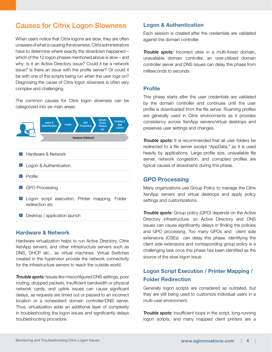# Causes for Citrix Logon Slowness

When users notice that Citrix logons are slow, they are often unaware of what is causing the slowness. Citrix administrators have to determine where exactly the slowdown happened – which of the 12 logon phases mentioned above is slow – and why: Is it an Active Directory issue? Could it be a network issue? Is there an issue with the profile server? Or could it be with one of the scripts being run when the user logs on? Diagnosing the cause of Citrix logon slowness is often very complex and challenging.

The common causes for Citrix logon slowness can be categorized into six main areas:



 $\triangleright$  Desktop / application launch

#### Hardware & Network

Hardware virtualization helps to run Active Directory, Citrix XenApp servers, and other infrastructure servers such as DNS, DHCP etc., as virtual machines. Virtual Switches created in the hypervisor provide the network connectivity for the infrastructure servers to reach the outside world.

*Trouble spots:* Issues like misconfigured DNS settings, poor routing, dropped packets, insufficient bandwidth or physical network cards, and uplink issues can cause significant delays, as requests are timed out or passed to an incorrect location or a nonexistent domain controller/DNS server. Thus, virtualization adds an additional layer of complexity in troubleshooting the logon issues and significantly delays troubleshooting procedure.

#### Logon & Authentication

Each session is created after the credentials are validated against the domain controller.

*Trouble spots:* Incorrect sites in a multi-forest domain, unavailable domain controller, an over-utilized domain controller server and DNS issues can delay this phase from milliseconds to seconds.

#### Profile

This phase starts after the user credentials are validated by the domain controller and continues until the user profile is downloaded from the file server. Roaming profiles are generally used in Citrix environments as it provides consistency across XenApp servers/virtual desktops and preserves user settings and changes.

*Trouble spots:* It is recommended that all user folders be redirected to a file server except "AppData," as it is used heavily by applications. Large profile size, unavailable file server, network congestion, and corrupted profiles are typical causes of slowdowns during this phase.

#### GPO Processing

Many organizations use Group Policy to manage the Citrix XenApp servers and virtual desktops and apply policy settings and customizations.

*Trouble spots: Group policy (GPO) depends on the Active* Directory infrastructure, so Active Directory and DNS issues can cause significantly delays in finding the policies and GPO processing. Too many GPOs and client side extensions (CSEs) can delay this phase. Identifying the client side extensions and corresponding group policy is a challenging task once this phase has been identified as the source of the slow logon issue.

## Logon Script Execution / Printer Mapping / Folder Redirection

Generally logon scripts are considered as outdated, but they are still being used to customize individual users in a multi-user environment.

*Trouble spots:* Insufficient loops in the script, long-running logon scripts, and many mapped client printers are a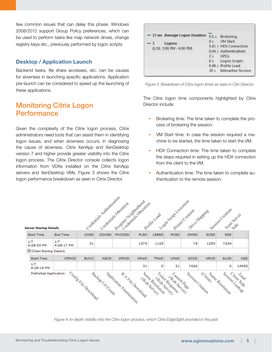few common issues that can delay this phase. Windows 2008/2012 support Group Policy preferences, which can be used to perform tasks like map network drives, change registry keys etc., previously performed by logon scripts.

#### Desktop / Application Launch

Backend tasks, file share accesses, etc. can be causes for slowness in launching specific applications. Application pre-launch can be considered to speed up the launching of these applications.

## Monitoring Citrix Logon Performance

Given the complexity of the Citrix logon process, Citrix administrators need tools that can assist them in identifying logon issues, and when slowness occurs, in diagnosing the cause of slowness. Citrix XenApp and XenDesktop version 7 and higher provide greater visibility into the Citrix logon process. The Citrix Director console collects logon information from VDAs installed on the Citrix XenApp servers and XenDesktop VMs. Figure 3 shows the Citrix logon performance breakdown as seen in Citrix Director.

|  | - 27 sec Average Logon Duration |                | 0.1 s Brokering          |
|--|---------------------------------|----------------|--------------------------|
|  | Logons                          | 2.0            | VM Start                 |
|  | (1/16 3:00 PM - 4:00 PM)        |                | 0.81 s HDX Connection    |
|  |                                 |                | 0.04 s Authentication    |
|  |                                 | 2 <sup>5</sup> | GPOs                     |
|  |                                 | 0 <sub>s</sub> | Logon Scripts            |
|  |                                 |                | 0.49 s Profile Load      |
|  |                                 |                | 20 s Interactive Session |

*Figure 3: Breakdown of Citrix logon times as seen in Citix Director*

The Citrix logon time components highlighted by Citrix Director include:

- Brokering time: The time taken to complete the process of brokering the session.
- VM Start time: In case the session required a machine to be started, the time taken to start the VM.
- HDX Connection time: The time taken to complete the steps required in setting up the HDX connection from the client to the VM.
- Authentication time: The time taken to complete authentication to the remote session.



*Figure 4: In-depth visibility into the Citrix logon process, which Citrix EdgeSight provided in the past*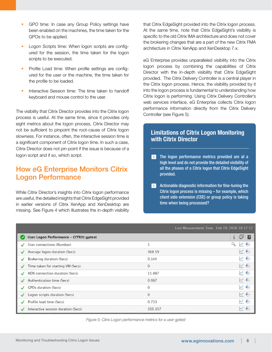- GPO time: In case any Group Policy settings have been enabled on the machines, the time taken for the GPOs to be applied.
- Logon Scripts time: When logon scripts are configured for the session, the time taken for the logon scripts to be executed.
- Profile Load time: When profile settings are configured for the user or the machine, the time taken for the profile to be loaded.
- Interactive Session time: The time taken to handoff keyboard and mouse control to the user.

The visibility that Citrix Director provides into the Citrix logon process is useful. At the same time, since it provides only eight metrics about the logon process, Citrix Director may not be sufficient to pinpoint the root-cause of Citrix logon slowness. For instance, often, the interactive session time is a significant component of Citrix logon time. In such a case, Citrix Director does not pin-point if the issue is because of a logon script and if so, which script.

# How eG Enterprise Monitors Citrix Logon Performance

While Citrix Director's insights into Citrix logon performance are useful, the detailed insights that Citrix EdgeSight provided in earlier versions of Citrix XenApp and XenDesktop are missing. See Figure 4 which illustrates the in-depth visibility that Citrix EdgeSight provided into the Citrix logon process. At the same time, note that Citrix EdgeSight's visibility is specific to the old Citrix IMA architecture and does not cover the brokering changes that are a part of the new Citrix FMA architecture in Citrix XenApp and XenDesktop 7.x.

eG Enterprise provides unparalleled visibility into the Citrix logon process by combining the capabilities of Citrix Director with the in-depth visibility that Citrix EdgeSight provided. The Citrix Delivery Controller is a central player in the Citrix logon process. Hence, the visibility provided by it into the logon process is fundamental to understanding how Citrix logon is performing. Using Citrix Delivery Controller's web services interface, eG Enterprise collects Citrix logon performance information directly from the Citrix Delivery Controller (see Figure 5).

## Limitations of Citrix Logon Monitoring with Citrix Director

- $\triangleright$  The logon performance metrics provided are at a high level and do not provide the detailed visibility of all the phases of a Citrix logon that Citrix EdgeSight provided.
- $\triangleright$  Actionable diagnostic information for fine-tuning the Citrix logon process is missing – for example, which client side extension (CSE) or group policy is taking time when being processed?

|   |                                        | Last Measurement Time : Feb 19, 2016 18:17:57 |                                 |
|---|----------------------------------------|-----------------------------------------------|---------------------------------|
| ø | User Logon Performance - CITRIX\gptest |                                               | ☞<br>$\sqrt{2}$<br>$\mathbf{1}$ |
|   | User connections (Number)              | 1                                             | $N \oplus$<br>ч                 |
| ✓ | Average logon duration (Secs)          | 368.59                                        | N A                             |
|   | Brokering duration (Secs)              | 0.144                                         | $N \oplus$                      |
| ◡ | Time taken for starting VM (Secs)      | $\theta$                                      | $N \oplus$                      |
| ✓ | HDX connection duration (Secs)         | 11.887                                        | $N' \bigoplus$                  |
|   | Authentication time (Secs)             | 0.087                                         | $N \oplus$                      |
| ✓ | GPOs duration (Secs)                   | $\theta$                                      | $N \oplus$                      |
| ✓ | Logon scripts duration (Secs)          | $\theta$                                      | W O                             |
|   | Profile load time (Secs)               | 0.733                                         | $N +$                           |
|   | Interactive session duration (Secs)    | 350.357                                       | w                               |

Ī

*Figure 5: Citrix Logon performance metrics for a user gptest*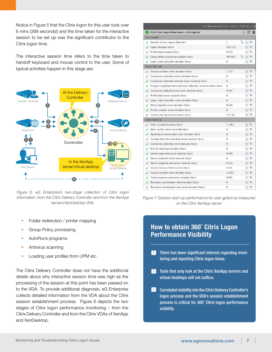Notice in Figure 5 that the Citrix logon for this user took over 6 mins (368 seconds!) and the time taken for the interactive session to be set up was the significant contributor to the Citrix logon time.

The interactive session time refers to the time taken to handoff keyboard and mouse control to the user. Some of typical activities happen in this stage are:



*Figure 6: eG Enterprise's two-stage collection of Citrix logon information: from the Citrix Delivery Controller and from the XenApp servers/XenDesktop VMs.*

- Folder redirection / printer mapping
- Group Policy processing
- AutoRuns programs
- Antivirus scanning
- Loading user profiles from UPM etc.

The Citrix Delivery Controller does not have the additional details about why interactive session time was high as the processing of the session at this point has been passed on to the VDA. To provide additional diagnosis, eG Enterprise collects detailed information from the VDA about the Citrix session establishment process. Figure 6 depicts the two stages of Citrix logon performance monitoring – from the Citrix Delivery Controller and from the Citrix VDAs of XenApp and XenDesktop.

|   | Last Measurement Time : Feb 19, 2016 18:13:28                     |         |                      |  |  |  |
|---|-------------------------------------------------------------------|---------|----------------------|--|--|--|
|   | Citrix User Logon Experience - citrix\gptest                      |         | o n                  |  |  |  |
|   | User Logons                                                       |         |                      |  |  |  |
| J | Number of user logons (Number)                                    | 1       | $Q \ltimes 4$        |  |  |  |
|   | Logon duration (Secs)                                             | 324.729 |                      |  |  |  |
|   | Profile load duration (Secs)                                      | 0.733   | $w \leftrightarrow$  |  |  |  |
|   | Group policy processing duration (Secs)                           | 307.661 | $N \leftarrow$<br>Q  |  |  |  |
|   | Login script execution duration (Secs)                            | Ù       | $N \leftrightarrow$  |  |  |  |
|   | Server Start-up                                                   |         |                      |  |  |  |
|   | Session creation server duration (Secs)                           | 1.172   | $ v^* $              |  |  |  |
|   | Credentials obtention server duration (Secs).                     | 0       |                      |  |  |  |
|   | Credentials obtention network server duration (Secs)              | 0       | $N_{\rm c}$          |  |  |  |
| ✓ | Program neighborhood credentials obtention server duration (Secs) | 0       | w 4)                 |  |  |  |
|   | Credentials authentication server duration (Secs)                 | 0.087   | $(r + 4)$            |  |  |  |
| ✓ | Profile load server duration (Secs)                               | o       | W 46)                |  |  |  |
|   | Login script execution server duration (Secs)                     | o       | $(1 - 4)$            |  |  |  |
| ✓ | Drive mapping server duration (Secs)                              | 0.016   | $ v^* $ (ii)         |  |  |  |
|   | Printer creation server duration (Secs)                           | 0       | $w \leftrightarrow$  |  |  |  |
|   | Session start-up server duration (secs)                           | 312.766 | $\sim$ 4)            |  |  |  |
|   | Client Start-up                                                   |         |                      |  |  |  |
|   | Start-up client duration (Secs)                                   | 11 963  | $N_{\rm c}$          |  |  |  |
| J | Back-up URL client count (Number)                                 | 0       |                      |  |  |  |
| ✓ | Application enumeration client duration (Secs)                    | 0       | $w \leftarrow$       |  |  |  |
| √ | Configuration file download client duration (Secs)                | 0       | $N \left( 1 \right)$ |  |  |  |
|   | Credentials obtention client duration (Secs)                      | o       | $N_{\rm c}$ (4)      |  |  |  |
|   | ICA file download duration (Secs)                                 | o       | $w \leftrightarrow$  |  |  |  |
|   | Launch page web server duration (Secs)                            | 0.403   | $N = 44$             |  |  |  |
| J | Name resolution client duration (Secs)                            | 0       | $N \left( 4 \right)$ |  |  |  |
| ✓ | Name resolution web server duration (Secs)                        | 0.353   | $10^{14}$ 44         |  |  |  |
| ✓ | Session look-up client duration (Secs)                            | 0.001   | $N \left( n \right)$ |  |  |  |
|   | Session creation client duration (Secs)                           | 12.057  | N(A)                 |  |  |  |
|   | Ticket response web server duration (Secs)                        | 0.001   | W(4)                 |  |  |  |
|   | Reconnect enumeration client duration (Secs)                      | 0       | $N \left( 1 \right)$ |  |  |  |
|   | Reconnect enumeration web server duration (Secs)                  | Ò       | $\sim$ 4)            |  |  |  |

*Figure 7: Session start-up performance for user gptest as measured on the Citrix XenApp server*

## How to obtain 360˚ Citrix Logon Performance Visibility

Ī

- $\triangleright$  There has been significant interest regarding monitoring and reporting Citrix logon times.
- $\blacktriangleright$ Tools that only look at the Citrix XenApp servers and virtual desktops will not suffice.
- $\triangleright$  Correlated visibility into the Citrix Delivery Controller's logon process and the VDA's session establishment process is critical for 360˚ Citrix logon performance visibility.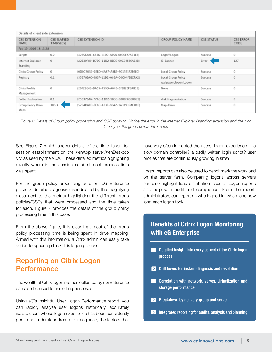| Details of client side extension    |                                  |                                        |                                             |                   |                          |
|-------------------------------------|----------------------------------|----------------------------------------|---------------------------------------------|-------------------|--------------------------|
| <b>CSE EXTENSION</b><br><b>NAME</b> | <b>CSE ELAPSED</b><br>TIME(SECS) | <b>CSE EXTENSION ID</b>                | <b>GROUP POLICY NAME</b>                    | <b>CSE STATUS</b> | <b>CSE ERROR</b><br>CODE |
| Feb 19, 2016 18:13:28               |                                  |                                        |                                             |                   |                          |
| Scripts                             | 0.2                              | {42B5FAAE-6536-11D2-AE5A-0000F87571E3} | Logoff Logon                                | <b>Success</b>    | 0                        |
| Internet Explorer<br>Branding       | 0                                | {A2E30F80-D7DE-11D2-BBDE-00C04F86AE3B} | IE-Banner                                   | Error             | 127                      |
| Citrix Group Policy                 | 0                                | {0D0C7034-2EBD-4A87-A9B9-9015E3F2E6E0} | Local Group Policy                          | Success           | 0                        |
| Registry                            | 0.1                              | {35378EAC-683F-11D2-A89A-00C04FBBCFA2} | Local Group Policy<br>wallpaper_logon Logon | Success           | $\circ$                  |
| Citrix Profile<br>Management        | 0                                | {26F29E43-DA55-459D-A045-5FEB25F8AB15} | None                                        | Success           | 0                        |
| <b>Folder Redirection</b>           | 0.1                              | {25537BA6-77A8-11D2-9B6C-0000F8080861} | disk fragmentation                          | Success           | $\circ$                  |
| <b>Group Policy Drive</b><br>Maps   | 306.3                            | {5794DAFD-BE60-433F-88A2-1A31939AC01F} | Map-Drive                                   | <b>Success</b>    | 0                        |

*Figure 8: Details of Group policy processing and CSE duration. Notice the error in the Internet Explorer Branding extension and the high latency for the group policy drive maps*

Ī

See Figure 7 which shows details of the time taken for session establishment on the XenApp server/XenDesktop VM as seen by the VDA. These detailed metrics highlighting exactly where in the session establishment process time was spent.

For the group policy processing duration, eG Enterprise provides detailed diagnosis (as indicated by the magnifying glass next to the metric) highlighting the different group policies/CSEs that were processed and the time taken for each. Figure 7 provides the details of the group policy processing time in this case.

From the above figure, it is clear that most of the group policy processing time is being spent in drive mapping. Armed with this information, a Citrix admin can easily take action to speed up the Citrix logon process.

# Reporting on Citrix Logon Performance

The wealth of Citrix logon metrics collected by eG Enterprise can also be used for reporting purposes.

Using eG's insightful User Logon Performance report, you can rapidly analyse user logons historically, accurately isolate users whose logon experience has been consistently poor, and understand from a quick glance, the factors that have very often impacted the users' logon experience – a slow domain controller? a badly written login script? user profiles that are continuously growing in size?

Logon reports can also be used to benchmark the workload on the server farm. Comparing logons across servers can also highlight load distribution issues. Logon reports also help with audit and compliance. From the report, administrators can report on who logged in, when, and how long each logon took.

## Benefits of Citrix Logon Monitoring with eG Enterprise

- $\sum$  Detailed insight into every aspect of the Citrix logon process
- $\sum$  Drilldowns for instant diagnosis and resolution
- **EX** Correlation with network, server, virtualization and storage performance
- $\triangleright$  Breakdown by delivery group and server
- $\triangleright$  Integrated reporting for audits, analysis and planning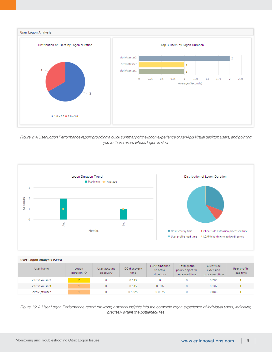

*Figure 9: A User Logon Performance report providing a quick summary of the logon experience of XenApp/virtual desktop users, and pointing you to those users whose logon is slow* 



| User Logon Analysis (Secs) |                             |                           |                      |                                          |                                                    |                                            |                           |
|----------------------------|-----------------------------|---------------------------|----------------------|------------------------------------------|----------------------------------------------------|--------------------------------------------|---------------------------|
| User Name                  | Logon<br>duration $\hat{v}$ | User account<br>discovery | DC discovery<br>time | LDAP bind time<br>to active<br>directory | Total group<br>policy object file<br>accessed time | Client side<br>extension<br>processed time | User profile<br>load time |
| citrix\xauser2             | 2                           | 0                         | 0.515                | ٥                                        | 0                                                  | 0.203                                      |                           |
| citrix\xauser1             |                             | 0                         | 0.515                | 0.016                                    | 0                                                  | 0.187                                      |                           |
| citrix\ctxuser             |                             | 0                         | 0.5225               | 0.0075                                   | ٥                                                  | 0.086                                      |                           |

*Figure 10: A User Logon Performance report providing historical insights into the complete logon experience of individual users, indicating precisely where the bottleneck lies*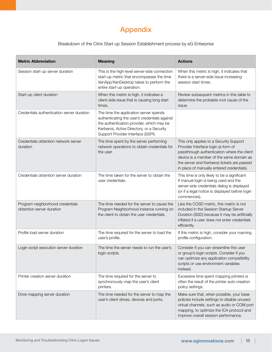# Appendix

Breakdown of the Citrix Start-up Session Establishment process by eG Enterprise

| <b>Metric Abbreviation</b>                                    | <b>Meaning</b>                                                                                                                                                                                                          | <b>Actions</b>                                                                                                                                                                                                                                                        |
|---------------------------------------------------------------|-------------------------------------------------------------------------------------------------------------------------------------------------------------------------------------------------------------------------|-----------------------------------------------------------------------------------------------------------------------------------------------------------------------------------------------------------------------------------------------------------------------|
| Session start-up server duration                              | This is the high-level server-side connection<br>start-up metric that encompasses the time<br>XenApp/XenDesktop takes to perform the<br>entire start-up operation.                                                      | When this metric is high, it indicates that<br>there is a server-side issue increasing<br>session start times.                                                                                                                                                        |
| Start-up client duration                                      | When this metric is high, it indicates a<br>client-side issue that is causing long start<br>times.                                                                                                                      | Review subsequent metrics in this table to<br>determine the probable root cause of the<br>issue.                                                                                                                                                                      |
| Credentials authentication server duration                    | The time the application server spends<br>authenticating the user's credentials against<br>the authentication provider, which may be<br>Kerberos, Active Directory, or a Security<br>Support Provider Interface (SSPI). |                                                                                                                                                                                                                                                                       |
| Credentials obtention network server<br>duration              | The time spent by the server performing<br>network operations to obtain credentials for<br>the user.                                                                                                                    | This only applies to a Security Support<br>Provider Interface login (a form of<br>passthrough authentication where the client<br>device is a member of the same domain as<br>the server and Kerberos tickets are passed<br>in place of manually entered credentials). |
| Credentials obtention server duration                         | The time taken for the server to obtain the<br>user credentials.                                                                                                                                                        | This time is only likely to be a significant<br>if manual login is being used and the<br>server-side credentials dialog is displayed<br>(or if a legal notice is displayed before login<br>commences).                                                                |
| Program neighborhood credentials<br>obtention server duration | The time needed for the server to cause the<br>Program Neighborhood instance running on<br>the client to obtain the user credentials.                                                                                   | Like the COSD metric, this metric is not<br>included in the Session Startup Server<br>Duration (SSD) because it may be artificially<br>inflated if a user does not enter credentials<br>efficiently.                                                                  |
| Profile load server duration                                  | The time required for the server to load the<br>user's profile.                                                                                                                                                         | If this metric is high, consider your roaming<br>profile configuration.                                                                                                                                                                                               |
| Login script execution server duration                        | The time the server needs to run the user's<br>login scripts.                                                                                                                                                           | Consider if you can streamline this user<br>or group's login scripts. Consider if you<br>can optimize any application compatibility<br>scripts or use environment variables<br>instead.                                                                               |
| Printer creation server duration                              | The time required for the server to<br>synchronously map the user's client<br>printers.                                                                                                                                 | Excessive time spent mapping printers is<br>often the result of the printer auto creation<br>policy settings.                                                                                                                                                         |
| Drive mapping server duration                                 | The time needed for the server to map the<br>user's client drives, devices and ports.                                                                                                                                   | Make sure that, when possible, your base<br>policies include settings to disable unused<br>virtual channels, such as audio or COM port<br>mapping, to optimize the ICA protocol and<br>improve overall session performance.                                           |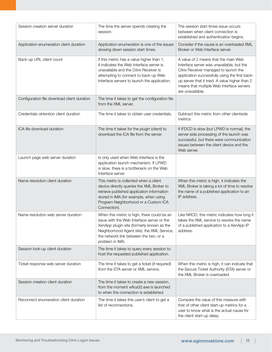| Session creation server duration            | The time the server spends creating the<br>session.                                                                                                                                                                                               | The session start times issue occurs<br>between when client connection is<br>established and authentication begins.                                                                                                                                                                             |
|---------------------------------------------|---------------------------------------------------------------------------------------------------------------------------------------------------------------------------------------------------------------------------------------------------|-------------------------------------------------------------------------------------------------------------------------------------------------------------------------------------------------------------------------------------------------------------------------------------------------|
| Application enumeration client duration     | Application enumeration is one of the issues<br>slowing down session start times.                                                                                                                                                                 | Consider if the cause is an overloaded XML<br>Broker or Web Interface server.                                                                                                                                                                                                                   |
| Back-up URL client count                    | If this metric has a value higher than 1,<br>it indicates the Web Interface server is<br>unavailable and the Citrix Receiver is<br>attempting to connect to back-up Web<br>Interface servers to launch the application.                           | A value of 2 means that the main Web<br>Interface server was unavailable, but the<br>Citrix Receiver managed to launch the<br>application successfully using the first back-<br>up server that it tried. A value higher than 2<br>means that multiple Web Interface servers<br>are unavailable. |
| Configuration file download client duration | The time it takes to get the configuration file<br>from the XML server.                                                                                                                                                                           |                                                                                                                                                                                                                                                                                                 |
| Credentials obtention client duration       | The time it takes to obtain user credentials.                                                                                                                                                                                                     | Subtract this metric from other clientside<br>metrics                                                                                                                                                                                                                                           |
| ICA file download duration                  | The time it takes for the plugin (client) to<br>download the ICA file from the server.                                                                                                                                                            | If IFDCD is slow (but LPWD is normal), the<br>server-side processing of the launch was<br>successful, but there were communication<br>issues between the client device and the<br>Web server.                                                                                                   |
| Launch page web server duration             | Is only used when Web Interface is the<br>application launch mechanism. If LPWD<br>is slow, there is a bottleneck on the Web<br>Interface server.                                                                                                 |                                                                                                                                                                                                                                                                                                 |
| Name resolution client duration             | This metric is collected when a client<br>device directly queries the XML Broker to<br>retrieve published application information<br>stored in IMA (for example, when using<br>Program Neighborhood or a Custom ICA<br>Connection).               | When this metric is high, it indicates the<br>XML Broker is taking a lot of time to resolve<br>the name of a published application to an<br>IP address.                                                                                                                                         |
| Name resolution web server duration         | When this metric is high, there could be an<br>issue with the Web Interface server or the<br>XenApp plugin site (formerly known as the<br>Neighborhood Agent site), the XML Service,<br>the network link between the two, or a<br>problem in IMA. | Like NRCD, this metric indicates how long it<br>takes the XML service to resolve the name<br>of a published application to a XenApp IP<br>address.                                                                                                                                              |
| Session look-up client duration             | The time it takes to query every session to<br>host the requested published application.                                                                                                                                                          |                                                                                                                                                                                                                                                                                                 |
| Ticket response web server duration         | The time it takes to get a ticket (if required)<br>from the STA server or XML service.                                                                                                                                                            | When this metric is high, it can indicate that<br>the Secure Ticket Authority (STA) server or<br>the XML Broker is overloaded.                                                                                                                                                                  |
| Session creation client duration            | The time it takes to create a new session,<br>from the moment wfica32.exe is launched<br>to when the connection is established.                                                                                                                   |                                                                                                                                                                                                                                                                                                 |
| Reconnect enumeration client duration       | The time it takes this user's client to get a<br>list of reconnections.                                                                                                                                                                           | Compare the value of this measure with<br>that of other client start-up metrics for a<br>user to know what is the actual cause for<br>the client start-up delay.                                                                                                                                |